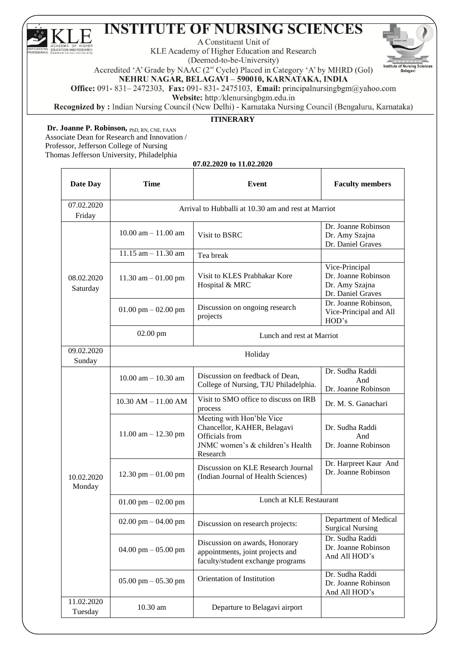A Constituent Unit of

KLE Academy of Higher Education and Research (Deemed-to-be-University)



Accredited 'A' Grade by NAAC (2<sup>nd</sup> Cycle) Placed in Category 'A' by MHRD (Gol)

NEHRU NAGAR, BELAGAVI - 590010, KARNATAKA, INDIA

Office: 091-831-2472303, Fax: 091-831-2475103, Email: principalnursingbgm@yahoo.com

Website: http:/klenursingbgm.edu.in

Recognized by : Indian Nursing Council (New Delhi) - Karnataka Nursing Council (Bengaluru, Karnataka)

#### **ITINERARY**

**Dr. Joanne P. Robinson,** PhD, RN, CNE, FAAN Associate Dean for Research and Innovation / Professor, Jefferson College of Nursing Thomas Jefferson University, Philadelphia

**07.02.2020 to 11.02.2020**

| Date Day               | <b>Time</b>                                         | Event                                                                                                                      | <b>Faculty members</b>                                                       |
|------------------------|-----------------------------------------------------|----------------------------------------------------------------------------------------------------------------------------|------------------------------------------------------------------------------|
| 07.02.2020<br>Friday   | Arrival to Hubballi at 10.30 am and rest at Marriot |                                                                                                                            |                                                                              |
|                        | $10.00$ am $- 11.00$ am                             | Visit to BSRC                                                                                                              | Dr. Joanne Robinson<br>Dr. Amy Szajna<br>Dr. Daniel Graves                   |
|                        | $11.15$ am $- 11.30$ am                             | Tea break                                                                                                                  |                                                                              |
| 08.02.2020<br>Saturday | $11.30$ am $-01.00$ pm                              | Visit to KLES Prabhakar Kore<br>Hospital & MRC                                                                             | Vice-Principal<br>Dr. Joanne Robinson<br>Dr. Amy Szajna<br>Dr. Daniel Graves |
|                        | 01.00 pm $-$ 02.00 pm                               | Discussion on ongoing research<br>projects                                                                                 | Dr. Joanne Robinson,<br>Vice-Principal and All<br>HOD's                      |
|                        | 02.00 pm                                            | Lunch and rest at Marriot                                                                                                  |                                                                              |
| 09.02.2020<br>Sunday   | Holiday                                             |                                                                                                                            |                                                                              |
| 10.02.2020<br>Monday   | $10.00$ am $- 10.30$ am                             | Discussion on feedback of Dean,<br>College of Nursing, TJU Philadelphia.                                                   | Dr. Sudha Raddi<br>And<br>Dr. Joanne Robinson                                |
|                        | $10.30$ AM $- 11.00$ AM                             | Visit to SMO office to discuss on IRB<br>process                                                                           | Dr. M. S. Ganachari                                                          |
|                        | $11.00$ am $- 12.30$ pm                             | Meeting with Hon'ble Vice<br>Chancellor, KAHER, Belagavi<br>Officials from<br>JNMC women's & children's Health<br>Research | Dr. Sudha Raddi<br>And<br>Dr. Joanne Robinson                                |
|                        | $12.30$ pm $-01.00$ pm                              | Discussion on KLE Research Journal<br>(Indian Journal of Health Sciences)                                                  | Dr. Harpreet Kaur And<br>Dr. Joanne Robinson                                 |
|                        | 01.00 pm $-$ 02.00 pm                               | Lunch at KLE Restaurant                                                                                                    |                                                                              |
|                        | 02.00 pm $-$ 04.00 pm                               | Discussion on research projects:                                                                                           | Department of Medical<br><b>Surgical Nursing</b>                             |
|                        | 04.00 pm $-$ 05.00 pm                               | Discussion on awards, Honorary<br>appointments, joint projects and<br>faculty/student exchange programs                    | Dr. Sudha Raddi<br>Dr. Joanne Robinson<br>And All HOD's                      |
|                        | $05.00$ pm $- 05.30$ pm                             | Orientation of Institution                                                                                                 | Dr. Sudha Raddi<br>Dr. Joanne Robinson<br>And All HOD's                      |
| 11.02.2020<br>Tuesday  | 10.30 am                                            | Departure to Belagavi airport                                                                                              |                                                                              |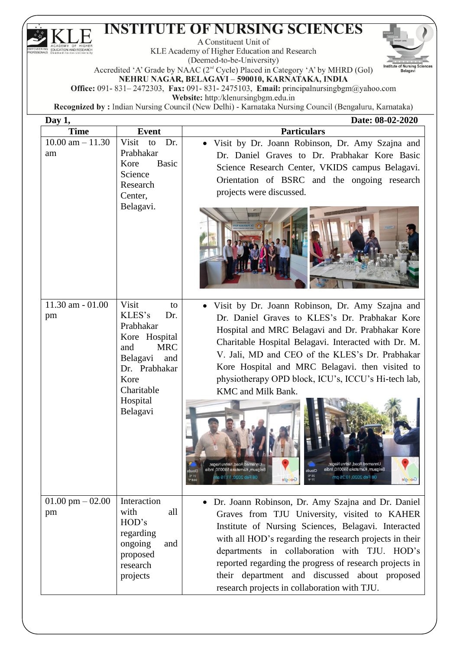$\boldsymbol{\mathsf{F}}$ 

A Constituent Unit of

KLE Academy of Higher Education and Research (Deemed-to-be-University)



Accredited 'A' Grade by NAAC (2<sup>nd</sup> Cycle) Placed in Category 'A' by MHRD (Gol) NEHRU NAGAR, BELAGAVI - 590010, KARNATAKA, INDIA

Office: 091-831-2472303, Fax: 091-831-2475103, Email: principalnursingbgm@yahoo.com

Website: http:/klenursingbgm.edu.in

| Day 1,               |                                    | Date: 08-02-2020                                                                                                                                                                                                                                                       |
|----------------------|------------------------------------|------------------------------------------------------------------------------------------------------------------------------------------------------------------------------------------------------------------------------------------------------------------------|
| <b>Time</b>          | <b>Event</b>                       | <b>Particulars</b>                                                                                                                                                                                                                                                     |
| $10.00$ am $- 11.30$ | Visit<br>to<br>Dr.                 | Visit by Dr. Joann Robinson, Dr. Amy Szajna and<br>$\bullet$                                                                                                                                                                                                           |
| am                   | Prabhakar<br>Kore                  | Dr. Daniel Graves to Dr. Prabhakar Kore Basic                                                                                                                                                                                                                          |
|                      | <b>Basic</b><br>Science            | Science Research Center, VKIDS campus Belagavi.                                                                                                                                                                                                                        |
|                      | Research                           | Orientation of BSRC and the ongoing research                                                                                                                                                                                                                           |
|                      | Center,                            | projects were discussed.                                                                                                                                                                                                                                               |
|                      | Belagavi.                          |                                                                                                                                                                                                                                                                        |
| $11.30$ am $-01.00$  | Visit<br>to                        | Visit by Dr. Joann Robinson, Dr. Amy Szajna and<br>$\bullet$                                                                                                                                                                                                           |
| pm                   | KLES's<br>Dr.                      | Dr. Daniel Graves to KLES's Dr. Prabhakar Kore                                                                                                                                                                                                                         |
|                      | Prabhakar                          | Hospital and MRC Belagavi and Dr. Prabhakar Kore                                                                                                                                                                                                                       |
|                      | Kore Hospital<br><b>MRC</b><br>and | Charitable Hospital Belagavi. Interacted with Dr. M.                                                                                                                                                                                                                   |
|                      | Belagavi<br>and                    | V. Jali, MD and CEO of the KLES's Dr. Prabhakar                                                                                                                                                                                                                        |
|                      | Dr. Prabhakar                      | Kore Hospital and MRC Belagavi. then visited to                                                                                                                                                                                                                        |
|                      | Kore                               | physiotherapy OPD block, ICU's, ICCU's Hi-tech lab,                                                                                                                                                                                                                    |
|                      | Charitable                         | KMC and Milk Bank.                                                                                                                                                                                                                                                     |
|                      | Hospital<br>Belagavi               | Unnamed Road, Nehru Nagar<br>Belgaum, Kamataka 590010, India<br>Belgaum, Karnataka 590010, India<br>Clouds<br>Clouds<br>21 <sup>o</sup> C<br>25 <sup>o</sup> C<br>08 Feb 2020, 13:26 pm<br>08 Feb 2020, 11:19 an<br>69.8 *F<br>Google<br>$77$ <sup>+</sup> F<br>Google |
| $01.00$ pm $-02.00$  | Interaction<br>with<br>all         | Dr. Joann Robinson, Dr. Amy Szajna and Dr. Daniel                                                                                                                                                                                                                      |
| pm                   | HOD's                              | Graves from TJU University, visited to KAHER                                                                                                                                                                                                                           |
|                      | regarding                          | Institute of Nursing Sciences, Belagavi. Interacted<br>with all HOD's regarding the research projects in their                                                                                                                                                         |
|                      | ongoing<br>and                     | departments in collaboration with TJU. HOD's                                                                                                                                                                                                                           |
|                      | proposed                           | reported regarding the progress of research projects in                                                                                                                                                                                                                |
|                      | research                           | their department and discussed about proposed                                                                                                                                                                                                                          |
|                      | projects                           | research projects in collaboration with TJU.                                                                                                                                                                                                                           |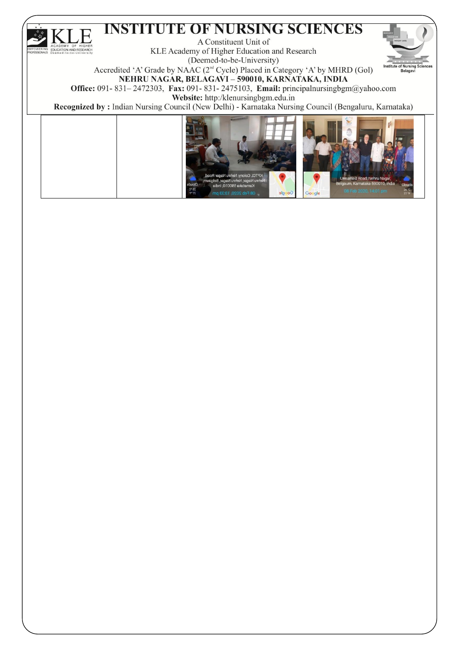#### **INSTITUTE OF NURSING SCIENCES**  $\boldsymbol{\mathrm{F}}$

A Constituent Unit of KLE Academy of Higher Education and Research

(Deemed-to-be-University)



Accredited 'A' Grade by NAAC (2<sup>nd</sup> Cycle) Placed in Category 'A' by MHRD (Gol) NEHRU NAGAR, BELAGAVI - 590010, KARNATAKA, INDIA

Office: 091-831-2472303, Fax: 091-831-2475103, Email: principalnursingbgm@yahoo.com Website: http:/klenursingbgm.edu.in



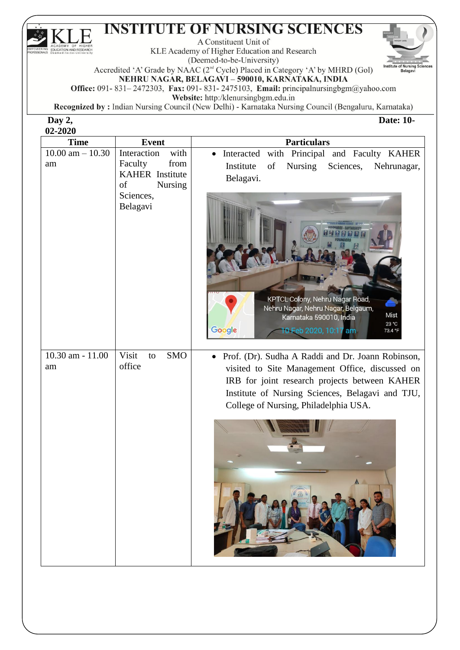A Constituent Unit of

KLE Academy of Higher Education and Research (Deemed-to-be-University)



**Date: 10-**

Accredited 'A' Grade by NAAC (2<sup>nd</sup> Cycle) Placed in Category 'A' by MHRD (Gol)

NEHRU NAGAR, BELAGAVI - 590010, KARNATAKA, INDIA

Office: 091-831-2472303, Fax: 091-831-2475103, Email: principalnursingbgm@yahoo.com

Website: http:/klenursingbgm.edu.in

Recognized by : Indian Nursing Council (New Delhi) - Karnataka Nursing Council (Bengaluru, Karnataka)

Day 2, 02-2020  $\overline{F}$ 

| <b>Time</b>                | <b>Event</b>                                                                             | <b>Particulars</b>                                                                                                                                                                                                                                 |
|----------------------------|------------------------------------------------------------------------------------------|----------------------------------------------------------------------------------------------------------------------------------------------------------------------------------------------------------------------------------------------------|
| $10.00$ am $- 10.30$<br>am | with<br>Interaction<br>from<br>Faculty<br><b>KAHER</b> Institute<br>of<br><b>Nursing</b> | Interacted with Principal and Faculty KAHER<br>Nursing<br>Institute<br>Sciences,<br>of<br>Nehrunagar,<br>Belagavi.                                                                                                                                 |
|                            | Sciences,<br>Belagavi                                                                    | KPTCL Colony, Nehru Nagar Road,<br>Nehru Nagar, Nehru Nagar, Belgaum,<br>Mist<br>Karnataka 590010, India<br>23 °C<br>10 Feb 2020, 10:17 am<br>Google<br>73.4 °F                                                                                    |
| 10.30 am - 11.00<br>am     | Visit<br><b>SMO</b><br>to<br>office                                                      | Prof. (Dr). Sudha A Raddi and Dr. Joann Robinson,<br>visited to Site Management Office, discussed on<br>IRB for joint research projects between KAHER<br>Institute of Nursing Sciences, Belagavi and TJU,<br>College of Nursing, Philadelphia USA. |
|                            |                                                                                          |                                                                                                                                                                                                                                                    |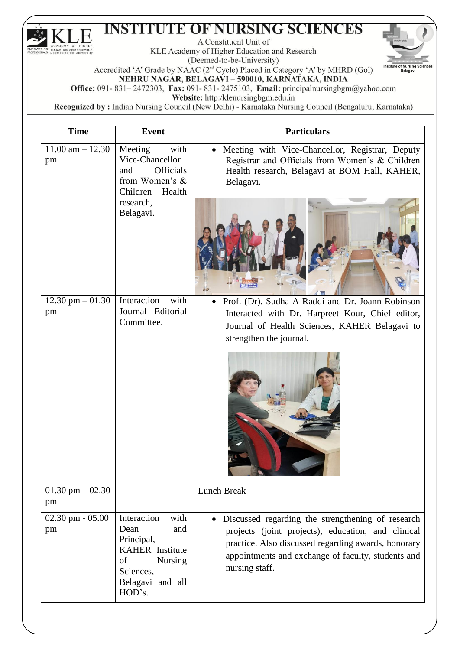$\boldsymbol{\mathsf{F}}$ 

A Constituent Unit of

KLE Academy of Higher Education and Research (Deemed-to-be-University)



Accredited 'A' Grade by NAAC (2<sup>nd</sup> Cycle) Placed in Category 'A' by MHRD (Gol) NEHRU NAGAR, BELAGAVI - 590010, KARNATAKA, INDIA

Office: 091-831-2472303, Fax: 091-831-2475103, Email: principalnursingbgm@yahoo.com

Website: http:/klenursingbgm.edu.in

| <b>Time</b>                | <b>Event</b>                                                                                                       | <b>Particulars</b>                                                                                                                                                                                                                     |
|----------------------------|--------------------------------------------------------------------------------------------------------------------|----------------------------------------------------------------------------------------------------------------------------------------------------------------------------------------------------------------------------------------|
| $11.00$ am $- 12.30$<br>pm | Meeting<br>with<br>Vice-Chancellor<br><b>Officials</b><br>and<br>from Women's &<br>Children<br>Health<br>research, | Meeting with Vice-Chancellor, Registrar, Deputy<br>Registrar and Officials from Women's & Children<br>Health research, Belagavi at BOM Hall, KAHER,<br>Belagavi.                                                                       |
|                            | Belagavi.                                                                                                          | 42                                                                                                                                                                                                                                     |
| 12.30 pm $-01.30$          | Interaction<br>with                                                                                                | Prof. (Dr). Sudha A Raddi and Dr. Joann Robinson<br>$\bullet$                                                                                                                                                                          |
| pm                         | Journal Editorial                                                                                                  | Interacted with Dr. Harpreet Kour, Chief editor,                                                                                                                                                                                       |
|                            | Committee.                                                                                                         | Journal of Health Sciences, KAHER Belagavi to                                                                                                                                                                                          |
|                            |                                                                                                                    | strengthen the journal.                                                                                                                                                                                                                |
|                            |                                                                                                                    |                                                                                                                                                                                                                                        |
| $01.30$ pm $-02.30$<br>pm  |                                                                                                                    | Lunch Break                                                                                                                                                                                                                            |
| $02.30$ pm $-05.00$<br>pm  | Interaction<br>with<br>Dean<br>and<br>Principal,<br><b>KAHER</b> Institute<br>of<br><b>Nursing</b><br>Sciences,    | Discussed regarding the strengthening of research<br>projects (joint projects), education, and clinical<br>practice. Also discussed regarding awards, honorary<br>appointments and exchange of faculty, students and<br>nursing staff. |
|                            | Belagavi and all<br>HOD's.                                                                                         |                                                                                                                                                                                                                                        |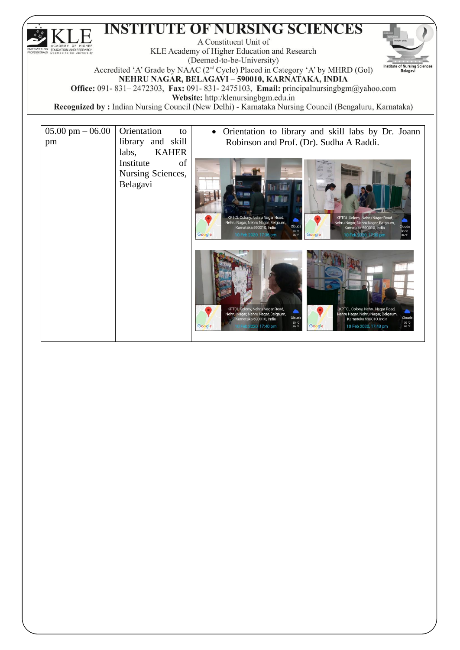A Constituent Unit of KLE Academy of Higher Education and Research Belagavi

(Deemed-to-be-University) Accredited 'A' Grade by NAAC (2<sup>nd</sup> Cycle) Placed in Category 'A' by MHRD (Gol) NEHRU NAGAR, BELAGAVI - 590010, KARNATAKA, INDIA

Office: 091-831-2472303, Fax: 091-831-2475103, Email: principalnursingbgm@yahoo.com

Website: http:/klenursingbgm.edu.in

| $05.00 \text{ pm} - 06.00$ | Orientation<br>to     | Orientation to library and skill labs by Dr. Joann                                                                                                 |
|----------------------------|-----------------------|----------------------------------------------------------------------------------------------------------------------------------------------------|
| pm                         | library and skill     | Robinson and Prof. (Dr). Sudha A Raddi.                                                                                                            |
|                            | <b>KAHER</b><br>labs, |                                                                                                                                                    |
|                            | Institute<br>of       |                                                                                                                                                    |
|                            | Nursing Sciences,     |                                                                                                                                                    |
|                            | Belagavi              |                                                                                                                                                    |
|                            |                       |                                                                                                                                                    |
|                            |                       |                                                                                                                                                    |
|                            |                       | KPTCL Colony, Nehru Nagar Road,<br>KPTCL Colony, Nehru Nagar Road,                                                                                 |
|                            |                       | Nehru Nagar, Nehru Nagar, Belgaum,<br>Nehru Nagar, Nehru Nagar, Belgaum,<br>Clouds<br>Clouds<br>Karnataka 590010, India<br>Karnataka 590010, India |
|                            |                       | 30 °C<br>30 °C<br>Google<br>10 Feb 2020, 17:39 pm<br>Google<br>10 Feb 2020, 17:36 pm<br>86 °F<br>86 °F                                             |
|                            |                       |                                                                                                                                                    |
|                            |                       |                                                                                                                                                    |
|                            |                       |                                                                                                                                                    |
|                            |                       |                                                                                                                                                    |
|                            |                       |                                                                                                                                                    |
|                            |                       | KPTCL Colony, Nehru Nagar Road,<br>KPTCL Colony, Nehru Nagar Road,                                                                                 |
|                            |                       | Nehru Nagar, Nehru Nagar, Belgaum,<br>Vehru Nagar, Nehru Nagar, Belgaum,<br>Clouds<br>Clouds<br>Karnataka 590010, India<br>Karnataka 590010, India |
|                            |                       | 30 °C<br>86 °F<br>30 °C<br>Google<br>Google<br>10 Feb 2020, 17:40 pm<br>10 Feb 2020, 17:43 pm<br>86 °F                                             |
|                            |                       |                                                                                                                                                    |